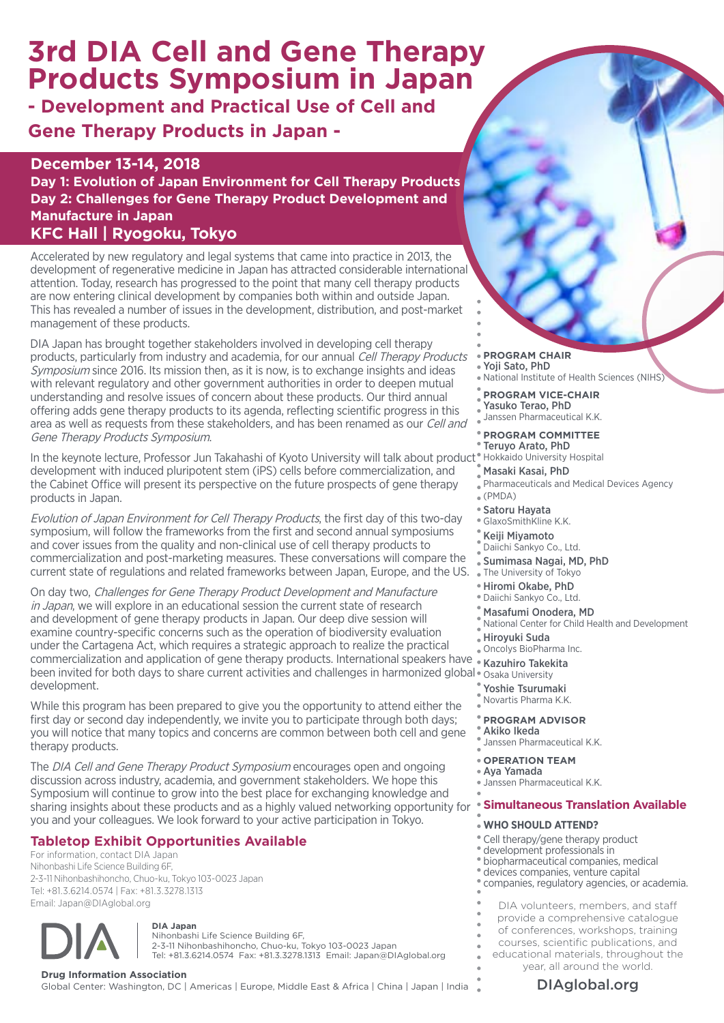# **3rd DIA Cell and Gene Therapy Products Symposium in Japan**

**- Development and Practical Use of Cell and Gene Therapy Products in Japan -**

**December 13-14, 2018 Day 1: Evolution of Japan Environment for Cell Therapy Products Day 2: Challenges for Gene Therapy Product Development and Manufacture in Japan KFC Hall | Ryogoku, Tokyo**

Accelerated by new regulatory and legal systems that came into practice in 2013, the development of regenerative medicine in Japan has attracted considerable international attention. Today, research has progressed to the point that many cell therapy products are now entering clinical development by companies both within and outside Japan. This has revealed a number of issues in the development, distribution, and post-market management of these products.

DIA Japan has brought together stakeholders involved in developing cell therapy products, particularly from industry and academia, for our annual Cell Therapy Products Symposium since 2016. Its mission then, as it is now, is to exchange insights and ideas with relevant regulatory and other government authorities in order to deepen mutual understanding and resolve issues of concern about these products. Our third annual offering adds gene therapy products to its agenda, reflecting scientific progress in this area as well as requests from these stakeholders, and has been renamed as our Cell and Gene Therapy Products Symposium.

In the keynote lecture, Professor Jun Takahashi of Kyoto University will talk about product® Hokkaido University Hospital development with induced pluripotent stem (iPS) cells before commercialization, and the Cabinet Office will present its perspective on the future prospects of gene therapy products in Japan.

Evolution of Japan Environment for Cell Therapy Products, the first day of this two-day symposium, will follow the frameworks from the first and second annual symposiums and cover issues from the quality and non-clinical use of cell therapy products to commercialization and post-marketing measures. These conversations will compare the current state of regulations and related frameworks between Japan, Europe, and the US.

been invited for both days to share current activities and challenges in harmonized global. Osaka University On day two, Challenges for Gene Therapy Product Development and Manufacture in Japan, we will explore in an educational session the current state of research and development of gene therapy products in Japan. Our deep dive session will examine country-specific concerns such as the operation of biodiversity evaluation under the Cartagena Act, which requires a strategic approach to realize the practical commercialization and application of gene therapy products. International speakers have  $^{\circ}$ development.

While this program has been prepared to give you the opportunity to attend either the first day or second day independently, we invite you to participate through both days; you will notice that many topics and concerns are common between both cell and gene therapy products.

The DIA Cell and Gene Therapy Product Symposium encourages open and ongoing discussion across industry, academia, and government stakeholders. We hope this Symposium will continue to grow into the best place for exchanging knowledge and sharing insights about these products and as a highly valued networking opportunity for you and your colleagues. We look forward to your active participation in Tokyo.

# **Tabletop Exhibit Opportunities Available**

For information, contact DIA Japan Nihonbashi Life Science Building 6F, 2-3-11 Nihonbashihoncho, Chuo-ku, Tokyo 103-0023 Japan Tel: +81.3.6214.0574 | Fax: +81.3.3278.1313 Email: Japan@DIAglobal.org



**DIA Japan**

Nihonbashi Life Science Building 6F, 2-3-11 Nihonbashihoncho, Chuo-ku, Tokyo 103-0023 Japan Tel: +81.3.6214.0574 Fax: +81.3.3278.1313 Email: Japan@DIAglobal.org

**Drug Information Association**<br>Global Center: Washington, DC | Americas | Europe, Middle East & Africa | China | Japan | India **Namerica | [DIAglobal.org](http://www.DIAHome.org)** 

**PROGRAM CHAIR** Yoji Sato, PhD National Institute of Health Sciences (NIHS)

**PROGRAM VICE-CHAIR** Yasuko Terao, PhD Janssen Pharmaceutical K.K.

**PROGRAM COMMITTEE** Teruyo Arato, PhD

- Masaki Kasai, PhD
- Pharmaceuticals and Medical Devices Agency  $\sqrt{\ }$  (PMDA)
- Satoru Hayata
- GlaxoSmithKline K.K.
- Keiji Miyamoto
- Daiichi Sankyo Co., Ltd.
- Sumimasa Nagai, MD, PhD The University of Tokyo
- Hiromi Okabe, PhD
- Daiichi Sankyo Co., Ltd.
- Masafumi Onodera, MD
- National Center for Child Health and Development
- Hiroyuki Suda
- Oncolys BioPharma Inc.
- Kazuhiro Takekita
- 
- Yoshie Tsurumaki
- Novartis Pharma K.K.

### **PROGRAM ADVISOR**

- Akiko Ikeda Janssen Pharmaceutical K.K.
- **OPERATION TEAM**
- Aya Yamada
- Janssen Pharmaceutical K.K.

### **Simultaneous Translation Available**

#### **WHO SHOULD ATTEND?**

- Cell therapy/gene therapy product
- development professionals in
- biopharmaceutical companies, medical
- devices companies, venture capital
- companies, regulatory agencies, or academia.
- DIA volunteers, members, and staff
- provide a comprehensive catalogue
- of conferences, workshops, training
- courses, scientific publications, and
	- educational materials, throughout the year, all around the world.
		-

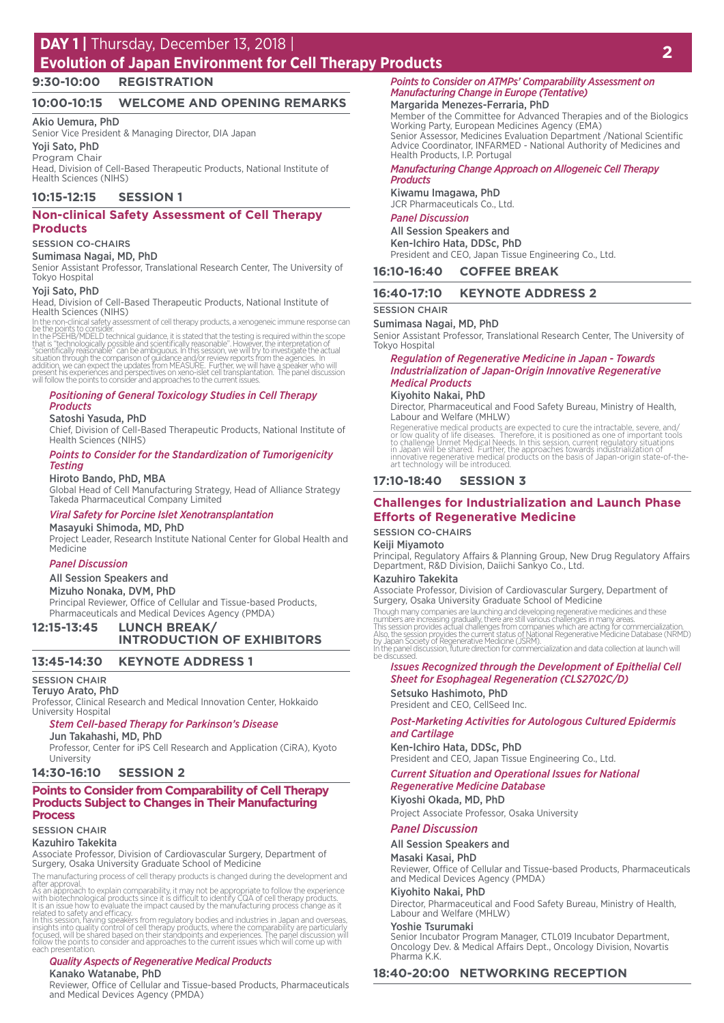# **DAY 1** | Thursday, December 13, 2018 |

# **Evolution of Japan Environment for Cell Therapy Products <sup>2</sup>**

**9:30-10:00 REGISTRATION**

### **10:00-10:15 WELCOME AND OPENING REMARKS**

#### Akio Uemura, PhD

Senior Vice President & Managing Director, DIA Japan

#### Yoji Sato, PhD

Program Chair Head, Division of Cell-Based Therapeutic Products, National Institute of Health Sciences (NIHS)

#### **10:15-12:15 SESSION 1**

### **Non-clinical Safety Assessment of Cell Therapy Products**

#### SESSION CO-CHAIRS

#### Sumimasa Nagai, MD, PhD

Senior Assistant Professor, Translational Research Center, The University of Tokyo Hospital

#### Yoji Sato, PhD

Head, Division of Cell-Based Therapeutic Products, National Institute of Health Sciences (NIHS)

In the non-clinical safety assessment of cell therapy products, a xenogeneic immune response can<br>be the points to consider.<br>In the PSEHB/MDELD technical guidance, it is stated that the testing is required within the scope<br>

#### *Positioning of General Toxicology Studies in Cell Therapy Products*

#### Satoshi Yasuda, PhD

Chief, Division of Cell-Based Therapeutic Products, National Institute of Health Sciences (NIHS)

#### *Points to Consider for the Standardization of Tumorigenicity Testing*

#### Hiroto Bando, PhD, MBA

Global Head of Cell Manufacturing Strategy, Head of Alliance Strategy Takeda Pharmaceutical Company Limited

#### *Viral Safety for Porcine Islet Xenotransplantation*

#### Masayuki Shimoda, MD, PhD

Project Leader, Research Institute National Center for Global Health and Medicine

#### *Panel Discussion*

#### All Session Speakers and

Mizuho Nonaka, DVM, PhD

Principal Reviewer, Office of Cellular and Tissue-based Products, Pharmaceuticals and Medical Devices Agency (PMDA)

## **12:15-13:45 LUNCH BREAK/ INTRODUCTION OF EXHIBITORS**

### **13:45-14:30 KEYNOTE ADDRESS 1**

#### SESSION CHAIR

### Teruyo Arato, PhD

Professor, Clinical Research and Medical Innovation Center, Hokkaido University Hospital

#### *Stem Cell-based Therapy for Parkinson's Disease*

Jun Takahashi, MD, PhD

Professor, Center for iPS Cell Research and Application (CiRA), Kyoto University

#### **14:30-16:10 SESSION 2**

#### **Points to Consider from Comparability of Cell Therapy Products Subject to Changes in Their Manufacturing Process**

## SESSION CHAIR

Kazuhiro Takekita

Associate Professor, Division of Cardiovascular Surgery, Department of Surgery, Osaka University Graduate School of Medicine

The manufacturing process of cell therapy products is changed during the development and

after approval.<br>As an approach to explain comparability, it may not be appropriate to follow the experience<br>As an approach oscillation of which biotechnological products since it is difficult to identify CQA of cell therap each presentation.

#### *Quality Aspects of Regenerative Medical Products*

### Kanako Watanabe, PhD

Reviewer, Office of Cellular and Tissue-based Products, Pharmaceuticals and Medical Devices Agency (PMDA)

*Points to Consider on ATMPs' Comparability Assessment on Manufacturing Change in Europe (Tentative)*

### Margarida Menezes-Ferraria, PhD

Member of the Committee for Advanced Therapies and of the Biologics Working Party, European Medicines Agency (EMA) Senior Assessor, Medicines Evaluation Department /National Scientific Advice Coordinator, INFARMED - National Authority of Medicines and Health Products, I.P. Portugal

#### *Manufacturing Change Approach on Allogeneic Cell Therapy Products*

#### Kiwamu Imagawa, PhD

JCR Pharmaceuticals Co., Ltd.

### *Panel Discussion*

All Session Speakers and Ken-Ichiro Hata, DDSc, PhD President and CEO, Japan Tissue Engineering Co., Ltd.

#### **16:10-16:40 COFFEE BREAK**

#### **16:40-17:10 KEYNOTE ADDRESS 2**

#### SESSION CHAIR

Sumimasa Nagai, MD, PhD

Senior Assistant Professor, Translational Research Center, The University of Tokyo Hospital

#### *Regulation of Regenerative Medicine in Japan - Towards Industrialization of Japan-Origin Innovative Regenerative Medical Products*

#### Kiyohito Nakai, PhD

Director, Pharmaceutical and Food Safety Bureau, Ministry of Health, Labour and Welfare (MHLW)

Regenerative medical products are expected to cure the intractable, severe, and/<br>or low quality of life diseases. Therefore, it is positioned as one of important tools<br>to challenge Unmet Medical Needs. In this session, cur

#### **17:10-18:40 SESSION 3**

### **Challenges for Industrialization and Launch Phase Efforts of Regenerative Medicine**

#### SESSION CO-CHAIRS

Keiji Miyamoto

Principal, Regulatory Affairs & Planning Group, New Drug Regulatory Affairs Department, R&D Division, Daiichi Sankyo Co., Ltd.

#### Kazuhiro Takekita

Associate Professor, Division of Cardiovascular Surgery, Department of Surgery, Osaka University Graduate School of Medicine

Though many companies are launching and developing regenerative medicines and these<br>numbers are increasing gradually, there are still various challenges in many areas.<br>This session provides actual challenges from companies be discussed.

#### *Issues Recognized through the Development of Epithelial Cell Sheet for Esophageal Regeneration (CLS2702C/D)*

Setsuko Hashimoto, PhD President and CEO, CellSeed Inc.

### *Post-Marketing Activities for Autologous Cultured Epidermis*

# *and Cartilage*

Ken-Ichiro Hata, DDSc, PhD President and CEO, Japan Tissue Engineering Co., Ltd.

### *Current Situation and Operational Issues for National*

*Regenerative Medicine Database* Kiyoshi Okada, MD, PhD

Project Associate Professor, Osaka University

#### *Panel Discussion*

#### All Session Speakers and

Masaki Kasai, PhD

Reviewer, Office of Cellular and Tissue-based Products, Pharmaceuticals and Medical Devices Agency (PMDA)

#### Kiyohito Nakai, PhD Director, Pharmaceutical and Food Safety Bureau, Ministry of Health, Labour and Welfare (MHLW)

Yoshie Tsurumaki

Senior Incubator Program Manager, CTL019 Incubator Department, Oncology Dev. & Medical Affairs Dept., Oncology Division, Novartis Pharma K.K.

#### **18:40-20:00 NETWORKING RECEPTION**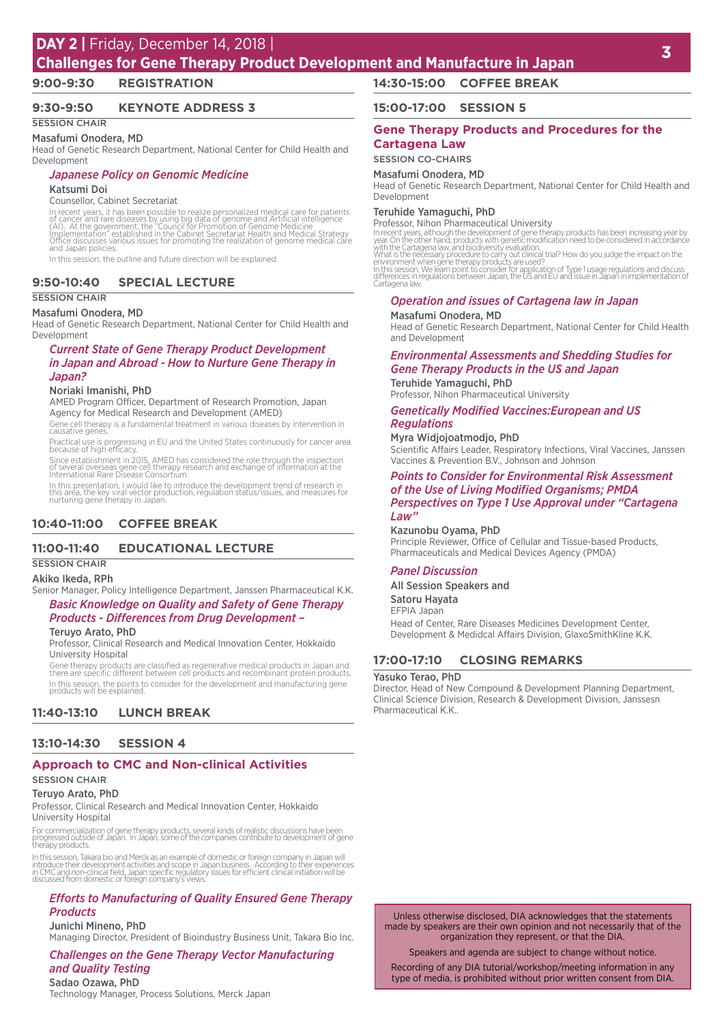# **<sup>3</sup> DAY 2 |** Friday, December 14, 2018 |

# **Challenges for Gene Therapy Product Development and Manufacture in Japan**

### **9:00-9:30 REGISTRATION**

### **9:30-9:50 KEYNOTE ADDRESS 3**

#### **SESSION CHAIR** Masafumi Onodera, MD

Head of Genetic Research Department, National Center for Child Health and Development

### *Japanese Policy on Genomic Medicine*

#### Katsumi Doi

#### Counsellor, Cabinet Secretariat

In recent years, it has been possible to realize personalized medical care for patients<br>of cancer and rare diseases by using big data of genome and Artificial intelligence<br>(Al). At the government, the "Council for Promotio

In this session, the outline and future direction will be explained.

### **9:50-10:40 SPECIAL LECTURE**

#### SESSION CHAIR

#### Masafumi Onodera, MD

Head of Genetic Research Department, National Center for Child Health and Development

#### *Current State of Gene Therapy Product Development in Japan and Abroad - How to Nurture Gene Therapy in Japan?*

### Noriaki Imanishi, PhD

AMED Program Officer, Department of Research Promotion, Japan Agency for Medical Research and Development (AMED)

Gene cell therapy is a fundamental treatment in various diseases by intervention in causative genes

Practical use is progressing in EU and the United States continuously for cancer area because of high efficacy.

Since establishment in 2015, AMED has considered the role through the inspection of several overseas gene cell therapy research and exchange of information at the International Rare Disease Consortium.

In this presentation, I would like to introduce the development trend of research in this area, the key viral vector production, regulation status/issues, and measures for nurturing gene therapy in Japan.

### **10:40-11:00 COFFEE BREAK**

### **11:00-11:40 EDUCATIONAL LECTURE**

### SESSION CHAIR

#### Akiko Ikeda, RPh

Senior Manager, Policy Intelligence Department, Janssen Pharmaceutical K.K. *Basic Knowledge on Quality and Safety of Gene Therapy Products - Differences from Drug Development –*

### Teruyo Arato, PhD

Professor, Clinical Research and Medical Innovation Center, Hokkaido University Hospital

Gene therapy products are classified as regenerative medical products in Japan and there are specific different between cell products and recombinant protein products. In this session, the points to consider for the development and manufacturing gene products will be explained.

### **11:40-13:10 LUNCH BREAK**

#### **13:10-14:30 SESSION 4**

### **Approach to CMC and Non-clinical Activities**

#### SESSION CHAIR

#### Teruyo Arato, PhD

Professor, Clinical Research and Medical Innovation Center, Hokkaido University Hospital

For commercialization of gene therapy products, several kinds of realistic discussions have been progressed outside of Japan. In Japan, some of the companies contribute to development of gene therapy products.

In this session, Takara bio and Merck as an example of domestic or foreign company in Japan will<br>introduce their development activities and scope in Japan business. According to their experiences<br>in CMC and non-clinical fi

#### *Efforts to Manufacturing of Quality Ensured Gene Therapy Products*

#### Junichi Mineno, PhD

Managing Director, President of Bioindustry Business Unit, Takara Bio Inc.

### *Challenges on the Gene Therapy Vector Manufacturing and Quality Testing*

Sadao Ozawa, PhD Technology Manager, Process Solutions, Merck Japan

### **14:30-15:00 COFFEE BREAK**

#### **15:00-17:00 SESSION 5**

### **Gene Therapy Products and Procedures for the Cartagena Law**

#### SESSION CO-CHAIRS

#### Masafumi Onodera, MD

Head of Genetic Research Department, National Center for Child Health and Development

### Teruhide Yamaguchi, PhD

Professor, Nihon Pharmaceutical University

In recent years, although the development of gene therapy products has been increasing year by<br>year. On the other hand, products with genetic modification need to be considered in accordance<br>with the Cartagena law, and bio

#### *Operation and issues of Cartagena law in Japan* Masafumi Onodera, MD

Head of Genetic Research Department, National Center for Child Health and Development

### *Environmental Assessments and Shedding Studies for Gene Therapy Products in the US and Japan*

Teruhide Yamaguchi, PhD Professor, Nihon Pharmaceutical University

### *Genetically Modified Vaccines:European and US Regulations*

Myra Widjojoatmodjo, PhD

Scientific Affairs Leader, Respiratory Infections, Viral Vaccines, Janssen Vaccines & Prevention B.V., Johnson and Johnson

### *Points to Consider for Environmental Risk Assessment of the Use of Living Modified Organisms; PMDA Perspectives on Type 1 Use Approval under "Cartagena*

### *Law"* Kazunobu Oyama, PhD

Principle Reviewer, Office of Cellular and Tissue-based Products, Pharmaceuticals and Medical Devices Agency (PMDA)

#### *Panel Discussion*

All Session Speakers and

#### Satoru Hayata

EFPIA Japan Head of Center, Rare Diseases Medicines Development Center,

Development & Medidcal Affairs Division, GlaxoSmithKline K.K.

### **17:00-17:10 CLOSING REMARKS**

#### Yasuko Terao, PhD

Director, Head of New Compound & Development Planning Department, Clinical Science Division, Research & Development Division, Janssesn Pharmaceutical K.K..

Unless otherwise disclosed, DIA acknowledges that the statements made by speakers are their own opinion and not necessarily that of the organization they represent, or that the DIA.

Speakers and agenda are subject to change without notice.

Recording of any DIA tutorial/workshop/meeting information in any type of media, is prohibited without prior written consent from DIA.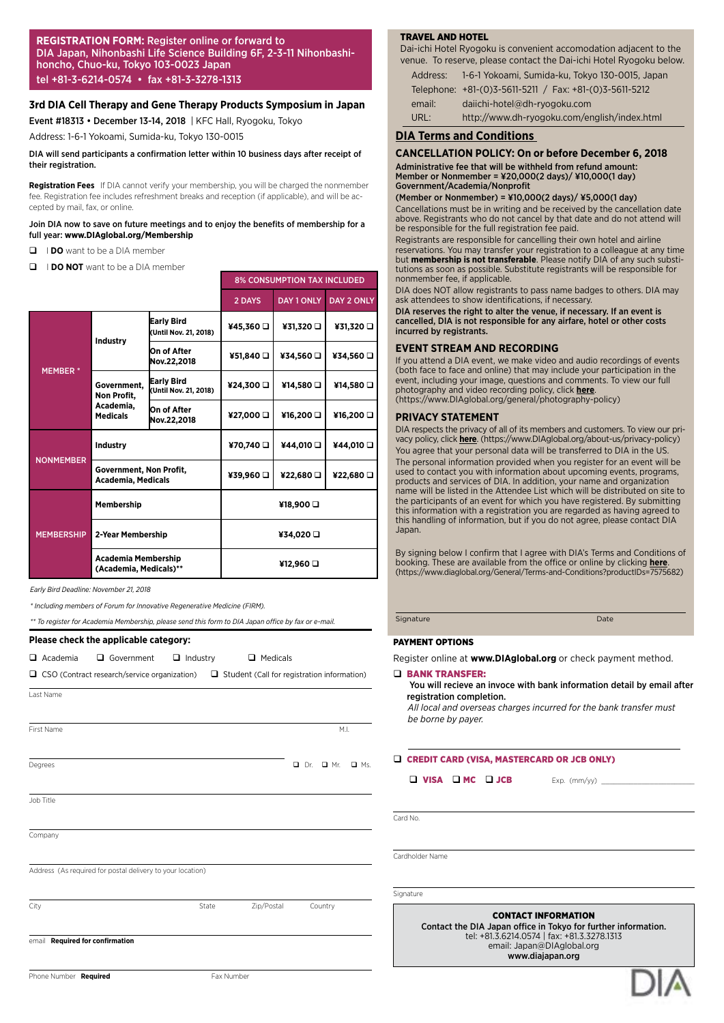#### **REGISTRATION FORM:** Register online or forward to DIA Japan, Nihonbashi Life Science Building 6F, 2-3-11 Nihonbashihoncho, Chuo-ku, Tokyo 103-0023 Japan tel +81-3-6214-0574 • fax +81-3-3278-1313

#### **3rd DIA Cell Therapy and Gene Therapy Products Symposium in Japan**

Event #18313 • December 13-14, 2018 | KFC Hall, Ryogoku, Tokyo

Address: 1-6-1 Yokoami, Sumida-ku, Tokyo 130-0015

#### DIA will send participants a confirmation letter within 10 business days after receipt of their registration.

**Registration Fees**  If DIA cannot verify your membership, you will be charged the nonmember fee. Registration fee includes refreshment breaks and reception (if applicable), and will be accepted by mail, fax, or online.

#### Join DIA now to save on future meetings and to enjoy the benefits of membership for a full year: **www.DIAglobal.org/Membership**

- $\Box$  **I DO** want to be a DIA member
- **Q I DO NOT** want to be a DIA member

|                   |                                                                                                                                                                                                                                                                                                                                                                                                                                                                                                                      |                                            | <b>8% CONSUMPTION TAX INCLUDED</b> |                   |                   |  |
|-------------------|----------------------------------------------------------------------------------------------------------------------------------------------------------------------------------------------------------------------------------------------------------------------------------------------------------------------------------------------------------------------------------------------------------------------------------------------------------------------------------------------------------------------|--------------------------------------------|------------------------------------|-------------------|-------------------|--|
|                   |                                                                                                                                                                                                                                                                                                                                                                                                                                                                                                                      |                                            | 2 DAYS                             | <b>DAY 1 ONLY</b> | <b>DAY 2 ONLY</b> |  |
|                   |                                                                                                                                                                                                                                                                                                                                                                                                                                                                                                                      | <b>Early Bird</b><br>(Until Nov. 21, 2018) | ¥45,360 □                          | ¥31,320 □         | ¥31,320 □         |  |
|                   | Industry<br>On of After<br>¥34,560 O<br>¥51,840<br>Nov.22,2018<br><b>Early Bird</b><br>Government.<br>¥14,580 O<br>¥24,300 O<br>(Until Nov. 21, 2018)<br>Non Profit,<br>Academia,<br>On of After<br>¥16,200 O<br>¥27,000 O<br><b>Medicals</b><br>Nov.22,2018<br>¥44,010 Q<br>Industry<br>¥70,740 □<br>Government, Non Profit,<br>¥39,960 □<br>¥22,680<br><b>Academia, Medicals</b><br>Membership<br>¥18,900 a<br>2-Year Membership<br>¥34,020 O<br><b>Academia Membership</b><br>¥12,960 a<br>(Academia, Medicals)** | ¥34,560 Q                                  |                                    |                   |                   |  |
| <b>MEMBER*</b>    |                                                                                                                                                                                                                                                                                                                                                                                                                                                                                                                      |                                            |                                    |                   | ¥14,580 □         |  |
|                   |                                                                                                                                                                                                                                                                                                                                                                                                                                                                                                                      |                                            |                                    |                   | ¥16,200 O         |  |
|                   |                                                                                                                                                                                                                                                                                                                                                                                                                                                                                                                      |                                            |                                    |                   | ¥44,010 Q         |  |
| <b>NONMEMBER</b>  |                                                                                                                                                                                                                                                                                                                                                                                                                                                                                                                      |                                            | ¥22,680                            |                   |                   |  |
| <b>MEMBERSHIP</b> |                                                                                                                                                                                                                                                                                                                                                                                                                                                                                                                      |                                            |                                    |                   |                   |  |
|                   |                                                                                                                                                                                                                                                                                                                                                                                                                                                                                                                      |                                            |                                    |                   |                   |  |
|                   |                                                                                                                                                                                                                                                                                                                                                                                                                                                                                                                      |                                            |                                    |                   |                   |  |

*Early Bird Deadline: November 21, 2018*

*\* Including members of Forum for Innovative Regenerative Medicine (FIRM).*

*\*\* To register for Academia Membership, please send this form to DIA Japan office by fax or e-mail.*

#### **Please check the applicable category:**

**Q** Academia Q Government Q Industry Q Medicals

| $\Box$ CSO (Contract research/service organization) $\Box$ Student (Call for registration information) |  |
|--------------------------------------------------------------------------------------------------------|--|
| Lact Name                                                                                              |  |

Degrees **Degrees Degrees degrees degrees degrees degrees degrees degrees degrees degrees degrees degrees degrees degrees degrees degrees degrees degrees degrees degrees degrees deg** 

First Name M.I. And the set of the set of the set of the set of the set of the set of the set of the set of the set of the set of the set of the set of the set of the set of the set of the set of the set of the set of the

Job Title

**Company** 

Address (As required for postal delivery to your location)

City **State Zip/Postal Country** Country

email **Required for confirmation**

Phone Number **Required** 

#### TRAVEL AND HOTEL

Dai-ichi Hotel Ryogoku is convenient accomodation adjacent to the venue. To reserve, please contact the Dai-ichi Hotel Ryogoku below.

Address: 1-6-1 Yokoami, Sumida-ku, Tokyo 130-0015, Japan Telephone: +81-(0)3-5611-5211 / Fax: +81-(0)3-5611-5212 email: daiichi-hotel@dh-ryogoku.com

URL: http://www.dh-ryogoku.com/english/index.html

#### **DIA Terms and Conditions**

#### **CANCELLATION POLICY: On or before December 6, 2018**

Administrative fee that will be withheld from refund amount: Member or Nonmember = ¥20,000(2 days)/ ¥10,000(1 day) Government/Academia/Nonprofit

(Member or Nonmember) = ¥10,000(2 days)/ ¥5,000(1 day)

Cancellations must be in writing and be received by the cancellation date above. Registrants who do not cancel by that date and do not attend will be responsible for the full registration fee paid.

Registrants are responsible for cancelling their own hotel and airline reservations. You may transfer your registration to a colleague at any time but **membership is not transferable**. Please notify DIA of any such substitutions as soon as possible. Substitute registrants will be responsible for nonmember fee, if applicable.

DIA does NOT allow registrants to pass name badges to others. DIA may ask attendees to show identifications, if necessary.

DIA reserves the right to alter the venue, if necessary. If an event is cancelled, DIA is not responsible for any airfare, hotel or other costs incurred by registrants.

#### **EVENT STREAM AND RECORDING**

If you attend a DIA event, we make video and audio recordings of events (both face to face and online) that may include your participation in the event, including your image, questions and comments. To view our full photography and video recording policy, click **[here](https://www.DIAglobal.org/general/photography-policy)**. (https://www.DIAglobal.org/general/photography-policy)

#### **PRIVACY STATEMENT**

DIA respects the privacy of all of its members and customers. To view our privacy policy, click **[here](https://www.DIAglobal.org/about-us/privacy-policy)**. (https://www.DIAglobal.org/about-us/privacy-policy) You agree that your personal data will be transferred to DIA in the US. The personal information provided when you register for an event will be used to contact you with information about upcoming events, programs, products and services of DIA. In addition, your name and organization name will be listed in the Attendee List which will be distributed on site to the participants of an event for which you have registered. By submitting this information with a registration you are regarded as having agreed to this handling of information, but if you do not agree, please contact DIA **Japan** 

By signing below I confirm that I agree with DIA's Terms and Conditions of booking. These are available from the office or online by clicking **[here](https://www.diaglobal.org/General/Terms-and-Conditions?productIDs=7575682)**. (https://www.diaglobal.org/General/Terms-and-Conditions?productIDs=7575682)

Signature Date

#### PAYMENT OPTIONS

Register online at **www.DIAglobal.org** or check payment method.

#### D BANK TRANSFER:

 You will recieve an invoce with bank information detail by email after registration completion.

*All local and overseas charges incurred for the bank transfer must be borne by payer.*

Q CREDIT CARD (VISA, MASTERCARD OR JCB ONLY)

 $\Box$  VISA  $\Box$  MC  $\Box$  JCB Exp. (mm/yy)  $\Box$ 

Card No.

Cardholder Name

Signature

CONTACT INFORMATION

Contact the DIA Japan office in Tokyo for further information. tel: +81.3.6214.0574 | fax: +81.3.3278.1313 email: Japan@DIAglobal.org www.diajapan.org

| Fax Number |
|------------|
|------------|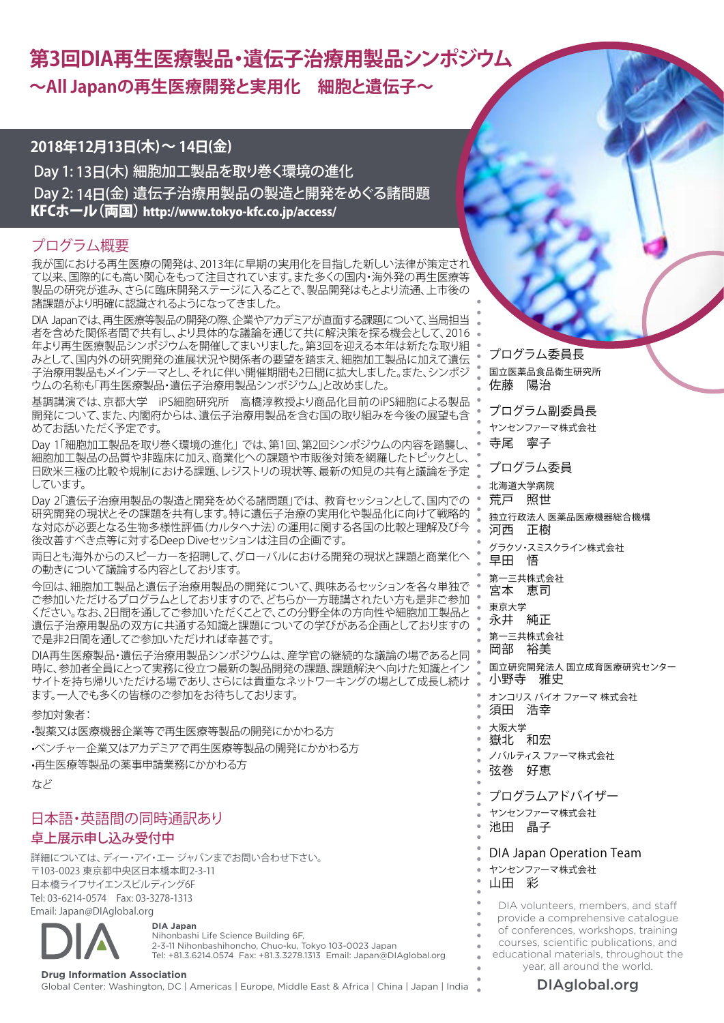# **第3回DIA再生医療製品・遺伝子治療用製品シンポジウム ~All Japanの再生医療開発と実用化 細胞と遺伝子~**

# **2018年12月13日(木)~ 14日(金)**

Day 1: 13日(木) 細胞加工製品を取り巻く環境の進化 Day 2: 14日(金) 遺伝子治療用製品の製造と開発をめぐる諸問題 [KFCホール\(両国\) http://www.tokyo-kfc.co.jp/access/](http://www.tokyo-kfc.co.jp/access/)

# プログラム概要

我が国における再生医療の開発は、2013年に早期の実用化を目指した新しい法律が策定され て以来、国際的にも高い関心をもって注目されています。また多くの国内・海外発の再生医療等 製品の研究が進み、さらに臨床開発ステージに入ることで、製品開発はもとより流通、上市後の 諸課題がより明確に認識されるようになってきました。

DIA Japanでは、再生医療等製品の開発の際、企業やアカデミアが直面する課題について、当局担当 者を含めた関係者間で共有し、より具体的な議論を通じて共に解決策を探る機会として、2016 年より再生医療製品シンポジウムを開催してまいりました。第3回を迎える本年は新たな取り組 みとして、国内外の研究開発の進展状況や関係者の要望を踏まえ、細胞加工製品に加えて遺伝 子治療用製品もメインテーマとし、それに伴い開催期間も2日間に拡大しました。また、シンポジ ウムの名称も「再生医療製品・遺伝子治療用製品シンポジウム」と改めました。

基調講演では、京都大学 iPS細胞研究所 高橋淳教授より商品化目前のiPS細胞による製品 開発について、また、内閣府からは、遺伝子治療用製品を含む国の取り組みを今後の展望も含 めてお話いただく予定です。

Day 1「細胞加工製品を取り巻く環境の進化」 では、第1回、第2回シンポジウムの内容を踏襲し、 細胞加工製品の品質や非臨床に加え、商業化への課題や市販後対策を網羅したトピックとし、 日欧米三極の比較や規制における課題、レジストリの現状等、最新の知見の共有と議論を予定 しています。

Day 2「遺伝子治療用製品の製造と開発をめぐる諸問題」では、 教育セッションとして、国内での 研究開発の現状とその課題を共有します。特に遺伝子治療の実用化や製品化に向けて戦略的 な対応が必要となる生物多様性評価(カルタヘナ法)の運用に関する各国の比較と理解及び今 後改善すべき点等に対するDeep Diveセッションは注目の企画です。

両日とも海外からのスピーカーを招聘して、グローバルにおける開発の現状と課題と商業化へ の動きについて議論する内容としております。

今回は、細胞加工製品と遺伝子治療用製品の開発について、興味あるセッションを各々単独で ご参加いただけるプログラムとしておりますので、どちらか一方聴講されたい方も是非ご参加 ください。なお、2日間を通してご参加いただくことで、この分野全体の方向性や細胞加工製品と 遺伝子治療用製品の双方に共通する知識と課題についての学びがある企画としておりますの で是非2日間を通してご参加いただければ幸甚です。

DIA再生医療製品・遺伝子治療用製品シンポジウムは、産学官の継続的な議論の場であると同 時に、参加者全員にとって実務に役立つ最新の製品開発の課題、課題解決へ向けた知識とイン サイトを持ち帰りいただける場であり、さらには貴重なネットワーキングの場として成長し続け ます。一人でも多くの皆様のご参加をお待ちしております。

# 参加対象者:

•製薬又は医療機器企業等で再生医療等製品の開発にかかわる方 •ベンチャー企業又はアカデミアで再生医療等製品の開発にかかわる方 •再生医療等製品の薬事申請業務にかかわる方

```
など
```
# 日本語・英語間の同時通訳あり 卓上展示申し込み受付中

詳細については、ディー・アイ・エー ジャパンまでお問い合わせ下さい。 〒103-0023 東京都中央区日本橋本町2-3-11 日本橋ライフサイエンスビルディング6F Tel: 03-6214-0574 Fax: 03-3278-1313 Email: Japan@DIAglobal.org

**DIA Japan** Nihonbashi Life Science Building 6F, 2-3-11 Nihonbashihoncho, Chuo-ku, Tokyo 103-0023 Japan Tel: +81.3.6214.0574 Fax: +81.3.3278.1313 Email: Japan@DIAglobal.org

プログラム委員長 国立医薬品食品衛生研究所 佐藤 陽治

プログラム副委員長 ヤンセンファーマ株式会社 寺尾 寧子

プログラム委員 北海道大学病院

荒戸 照世 独立行政法人 医薬品医療機器総合機構 河西 正樹

グラクソ・スミスクライン株式会社 早田 悟

第一三共株式会社 宮本 恵司

東京大学 ……<br>永井 純正

第一三共株式会社 岡部 裕美

国立研究開発法人 国立成育医療研究センター 小野寺 雅史

オンコリス バイオ ファーマ 株式会社 須田 浩幸

大阪大学 嶽北 和宏

ノバルティス ファーマ株式会社 弦巻 好恵

プログラムアドバイザー

ヤンセンファーマ株式会社

池田 晶子

DIA Japan Operation Team

ヤンセンファーマ株式会社

山田 彩

DIA volunteers, members, and staff provide a comprehensive catalogue of conferences, workshops, training courses, scientific publications, and educational materials, throughout the year, all around the world.

Drug Information Association<br>Global Center: Washington, DC | Americas | Europe, Middle East & Africa | China | Japan | India **Namerica | DIAglobal.org**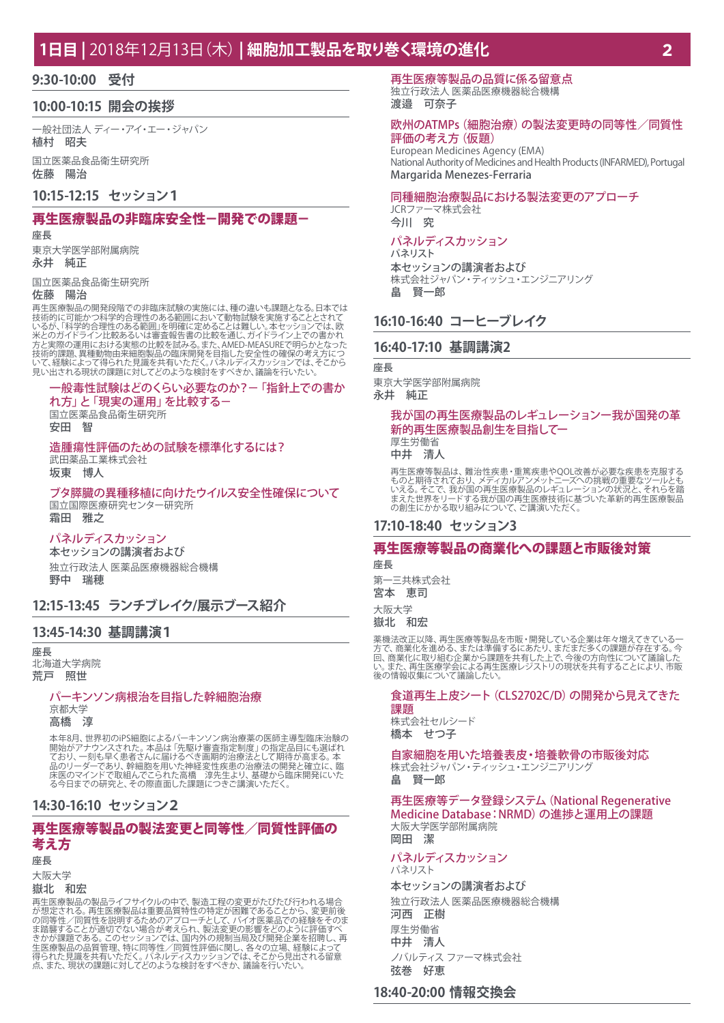# **1日目 |** 2018年12月13日(木) **| 細胞加工製品を取り巻く環境の進化**

### **9:30-10:00 受付**

### **10:00-10:15 開会の挨拶**

一般社団法人 ディー・アイ・エー・ジャパン 植村 昭夫

国立医薬品食品衛生研究所 佐藤 陽治

### **10:15-12:15 セッション1**

### 再生医療製品の非臨床安全性-開発での課題-

座長

東京大学医学部附属病院 永井 純正

国立医薬品食品衛生研究所

#### 佐藤 陽治

再生医療製品の開発段階での非臨床試験の実施には、種の違いも課題となる。日本では<br>技術的に可能かつ科学的合理性のある範囲において動物試験を実施することとれて<br>いるが、「科学的合理性のある配面」を明確に定めることは難しい。本セッションでは、欧<br>米とのガイドライン比較あるいは審査報告書の比較を通じ、ガイドライン上での書かれ 技術的課題、異種動物由来細胞製品の臨床開発を目指した安全性の確保の考え方につ<br>いて、経験によって得られた見識を共有いただく。パネルディスカッションでは、そこから<br>見い出される現状の課題に対してどのような検討をすべきか、議論を行いたい。

# 一般毒性試験はどのくらい必要なのか?-「指針上での書か

れ方」と「現実の運用」を比較する- 国立医薬品食品衛生研究所 安田 智

### 造腫瘍性評価のための試験を標準化するには?

武田薬品工業株式会社 坂東 博人

ブタ膵臓の異種移植に向けたウイルス安全性確保について 国立国際医療研究センター研究所 霜田 雅之

#### パネルディスカッション

本セッションの講演者および 独立行政法人 医薬品医療機器総合機構 野中 瑞穂

# **12:15-13:45 ランチブレイク/展示ブース紹介**

### **13:45-14:30 基調講演1**

座長 北海道大学病院 荒戸 照世

#### パーキンソン病根治を目指した幹細胞治療

京都大学 高橋 淳

本年8月、世界初のiPS細胞によるバーキンソン病治療薬の医師主導型臨床治験の<br>開始がアナウンスされた。本品は「先駆け審査指定制度」の指定品目にも選ばれ<br>ており、一刻も早く患者さんに届けた神経変性疾患の治療法の開発が高まる。本<br>品のリーダーであり、幹細胞を用いた神経変性疾患の治療法の開発と確立に、臨<br>床医のマインドで取組んでこられた高橋 淳先生より、基礎から臨床開発にいた

#### **14:30-16:10 セッション2**

### 再生医療等製品の製法変更と同等性/同質性評価の 考え方

#### 座長

大阪大学

#### 嶽北 和宏

再生医療製品の製品ライフサイクルの中で、製造工程の変更がたびたび行われる場合<br>が想定される。再生医療製品は重要品質特性の特定が困難であることから、変更前後の<br>の同等性/同質性を説明するためのアプローチとして、バイオ医薬品での経験をそのま、<br>ま踏襲することが適切でない場合が考えられ、製法変更の影響をどのように評価すべ<br>ま踏襲することが適切でない場合が考えられ、製法変更の影響をどのように評価すべ<br>生を療製品の品質管理でない、パネルディスカッ

再生医療等製品の品質に係る留意点 独立行政法人 医薬品医療機器総合機構 渡邉 可奈子

#### 欧州のATMPs(細胞治療)の製法変更時の同等性/同質性 評価の考え方(仮題)

European Medicines Agency (EMA) National Authority of Medicines and Health Products (INFARMED), Portugal Margarida Menezes-Ferraria

### 同種細胞治療製品における製法変更のアプローチ

JCRファーマ株式会社 今川 究

#### パネルディスカッション パネリスト

本セッションの講演者および 株式会社ジャパン・ティッシュ・エンジニアリング 畠 賢一郎

### **16:10-16:40 コーヒーブレイク**

#### **16:40-17:10 基調講演2**

座長

東京大学医学部附属病院 永井 純正

### 我が国の再生医療製品のレギュレーションー我が国発の革 新的再生医療製品創生を目指してー 厚生労働省

中井 清人

再生医療等製品は、難治性疾患・重篤疾患やQOL改善が必要な疾患を克服する<br>ものと期待されており、メディカルアンメットニーズへの挑戦の重要なツールとも<br>いえる。そこで、我が国の再生医療技術に基づいた革新的再生医療製品<br>まえた世界をリードする我が国の再生医療技術に基づいた革新的再生医療製品 の創生にかかる取り組みについて、ご講演いただく。

### **17:10-18:40 セッション3**

#### 再生医療等製品の商業化への課題と市販後対策

座長

第一三共株式会社

宮本 恵司

#### 大阪大学 嶽北 和宏

薬機法改正以降、再生医療等製品を市販・開発している企業は年々増えてきている一 方で、商業化を進める、または準備するにあたり、まだまだ多くの課題が存在する。今 回、商業化に取り組む企業から課題を共有した上で、今後の方向性について議論した い。また、再生医療学会による再生医療レジストリの現状を共有することにより、市販 後の情報収集について議論したい。

#### 食道再生上皮シート(CLS2702C/D)の開発から見えてきた 課題

株式会社セルシード 橋本 せつ子

自家細胞を用いた培養表皮・培養軟骨の市販後対応 株式会社ジャパン・ティッシュ・エンジニアリング

畠 賢一郎

#### 再生医療等データ登録システム(National Regenerative Medicine Database:NRMD)の進捗と運用上の課題 大阪大学医学部附属病院 岡田 潔

#### パネルディスカッション パネリスト

本セッションの講演者および 独立行政法人 医薬品医療機器総合機構 河西 正樹 厚生労働省 中井 清人 ノバルティス ファーマ株式会社 弦巻 好恵

## **18:40-20:00 情報交換会**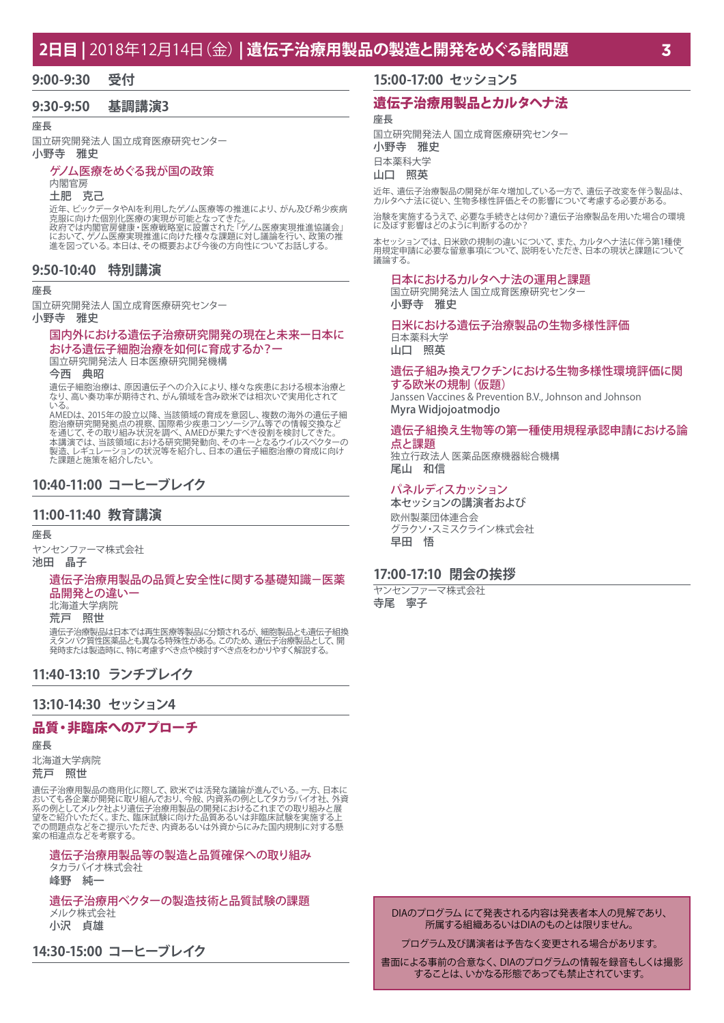# **2日目 |** 2018年12月14日(金) **| 遺伝子治療用製品の製造と開発をめぐる諸問題**

#### **9:00-9:30 受付**

### **9:30-9:50 基調講演3**

座長

国立研究開発法人 国立成育医療研究センター 小野寺 雅史

#### ゲノム医療をめぐる我が国の政策

### 内閣官房

土肥 克己

近年、ビックデータやAIを利用したゲノム医療等の推進により、がん及び希少疾病 克服に向けた個別化医療の実現が可能となってきた。 政府では内閣官房健康・医療戦略室に設置された「ゲノム医療実現推進協議会」 において、ゲノム医療実現推進に向けた様々な課題に対し議論を行い、政策の推

たままで、ファニロ流入りにというのには、、。は、これのに対しは論を行っている。<br>進を図っている。本日は、その概要および今後の方向性についてお話しする。

#### **9:50-10:40 特別講演**

#### 座長

国立研究開発法人 国立成育医療研究センター 小野寺 雅史

### 国内外における遺伝子治療研究開発の現在と未来ー日本に おける遺伝子細胞治療を如何に育成するか?ー

国立研究開発法人 日本医療研究開発機構

今西 典昭

遺伝子細胞治療は、原因遺伝子への介入により、様々な疾患における根本治療と なり、高い奏功率が期待され、がん領域を含み欧米では相次いで実用化されて

いる。<br>AMEDは、2015年の設立以降、当該領域の育成を意図し、複数の海外の遺伝子細<br>胞治療研究開発拠点の視察、国際希少疾患コンソーシアム等での情報交換など<br>を通じて、その取り組み状況を調べ、AMEDが果たすべき役割を検討してきた。<br>本講道、レギュレーションの状況等を紹介し、日本の遺伝子細胞治療の育成に向け<br>製造、レギュレーションの状況等を紹介し、日本の遺伝子細胞治療の育成に向け

### **10:40-11:00 コーヒーブレイク**

### **11:00-11:40 教育講演**

#### 座長

ヤンセンファーマ株式会社

### 池田 晶子

#### 遺伝子治療用製品の品質と安全性に関する基礎知識-医薬 品開発との違いー

北海道大学病院

荒戸 照世

遺伝子治療製品は日本では再生医療等製品に分類されるが、細胞製品とも遺伝子組換<br>えタンパク質性医薬品とも異なる特殊性がある。このため、遺伝子治療製品として、開<br>発時または製造時に、特に考慮すべき点や検討すべき点をわかりやすく解説する。

### **11:40-13:10 ランチブレイク**

### **13:10-14:30 セッション4**

### 品質・非臨床へのアプローチ

座長

# 北海道大学病院

荒戸 照世

遺伝子治療用製品の商用化に際して、欧米では活発な議論が進んでいる。一方、日本においても各企業が開発に取り組んでおり、今般、内資系の例としてタカラバイオ社、外資<br>おいても各企業が開発に取り組んでおり、今般、内資系の例としてタカラバイオ社、外資<br>系の例としてメルクだく。また、臨床試験に向けた品質あるいは非臨床試験を実施すると<br>望をご紹介さなどこ提示いただき、内資あるいは外資からにみた国内規制に対する懸<br>案の相違点などを考察する。

遺伝子治療用製品等の製造と品質確保への取り組み タカラバイオ株式会社

峰野 純一

遺伝子治療用ベクターの製造技術と品質試験の課題 メルク株式会社

小沢 貞雄

**14:30-15:00 コーヒーブレイク**

### **15:00-17:00 セッション5**

### 遺伝子治療用製品とカルタヘナ法

座長

国立研究開発法人 国立成育医療研究センター

小野寺 雅史

#### 日本薬科大学

### 山口 照英

近年、遺伝子治療製品の開発が年々増加している一方で、遺伝子改変を伴う製品は、 カルタヘナ法に従い、生物多様性評価とその影響について考慮する必要がある。

治験を実施するうえで、必要な手続きとは何か?遺伝子治療製品を用いた場合の環境 に及ぼす影響はどのように判断するのか?

本セッションでは、日米欧の規制の違いについて、また、カルタヘナ法に伴う第1種使 用規定申請に必要な留意事項について、説明をいただき、日本の現状と課題について 議論する。

#### 日本におけるカルタヘナ法の運用と課題

国立研究開発法人 国立成育医療研究センター 小野寺 雅史

日米における遺伝子治療製品の生物多様性評価 日本薬科大学

山口 照英

#### 遺伝子組み換えワクチンにおける生物多様性環境評価に関 する欧米の規制 (仮題)

Janssen Vaccines & Prevention B.V., Johnson and Johnson Myra Widjojoatmodjo

#### 遺伝子組換え生物等の第一種使用規程承認申請における論 点と課題

独立行政法人 医薬品医療機器総合機構 尾山 和信

#### パネルディスカッション

本セッションの講演者および 欧州製薬団体連合会 グラクソ・スミスクライン株式会社 早田 悟

#### **17:00-17:10 閉会の挨拶**

ヤンセンファーマ株式会社 寺尾 寧子

> DIAのプログラム にて発表される内容は発表者本人の見解であり、 所属する組織あるいはDIAのものとは限りません。

プログラム及び講演者は予告なく変更される場合があります。

書面による事前の合意なく、DIAのプログラムの情報を録音もしくは撮影 することは、いかなる形態であっても禁止されています。